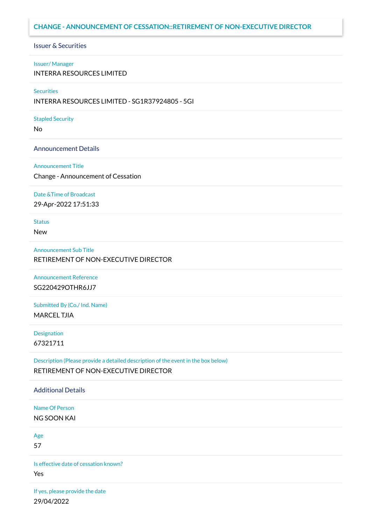## **CHANGE - ANNOUNCEMENT OF CESSATION::RETIREMENT OF NON-EXECUTIVE DIRECTOR**

## Issuer & Securities

### Issuer/ Manager

INTERRA RESOURCES LIMITED

### **Securities**

INTERRA RESOURCES LIMITED - SG1R37924805 - 5GI

### Stapled Security

No

### Announcement Details

#### Announcement Title

Change - Announcement of Cessation

### Date &Time of Broadcast

29-Apr-2022 17:51:33

# Status

New

## Announcement Sub Title

RETIREMENT OF NON-EXECUTIVE DIRECTOR

Announcement Reference SG220429OTHR6JJ7

Submitted By (Co./ Ind. Name) MARCEL TJIA

Designation 67321711

Description (Please provide a detailed description of the event in the box below) RETIREMENT OF NON-EXECUTIVE DIRECTOR

## Additional Details

Name Of Person NG SOON KAI

Age

57

Is effective date of cessation known?

Yes

If yes, please provide the date 29/04/2022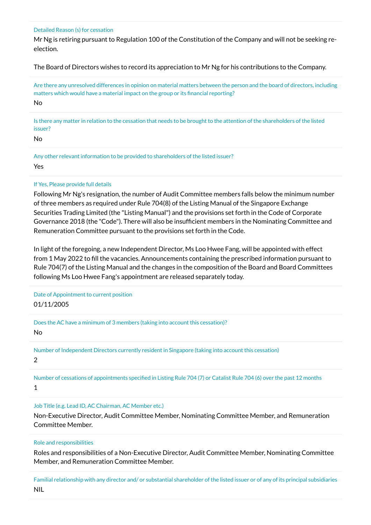### Detailed Reason (s) for cessation

Mr Ng is retiring pursuant to Regulation 100 of the Constitution of the Company and will not be seeking reelection.

The Board of Directors wishes to record its appreciation to Mr Ng for his contributions to the Company.

Are there any unresolved differences in opinion on material matters between the person and the board of directors, including matters which would have a material impact on the group or its financial reporting? No

Is there any matter in relation to the cessation that needs to be brought to the attention of the shareholders of the listed issuer?

No

Any other relevant information to be provided to shareholders of the listed issuer? Yes

## If Yes, Please provide full details

Following Mr Ng's resignation, the number of Audit Committee members falls below the minimum number of three members as required under Rule 704(8) of the Listing Manual of the Singapore Exchange Securities Trading Limited (the "Listing Manual") and the provisions set forth in the Code of Corporate Governance 2018 (the "Code"). There will also be insufficient members in the Nominating Committee and Remuneration Committee pursuant to the provisions set forth in the Code.

In light of the foregoing, a new Independent Director, Ms Loo Hwee Fang, will be appointed with effect from 1 May 2022 to fill the vacancies. Announcements containing the prescribed information pursuant to Rule 704(7) of the Listing Manual and the changes in the composition of the Board and Board Committees following Ms Loo Hwee Fang's appointment are released separately today.

Date of Appointment to current position 01/11/2005

Does the AC have a minimum of 3 members (taking into account this cessation)?

No

Number of Independent Directors currently resident in Singapore (taking into account this cessation) 2

Number of cessations of appointments specified in Listing Rule 704 (7) or Catalist Rule 704 (6) over the past 12 months

1

Job Title (e.g. Lead ID, AC Chairman, AC Member etc.)

Non-Executive Director, Audit Committee Member, Nominating Committee Member, and Remuneration Committee Member.

## Role and responsibilities

Roles and responsibilities of a Non-Executive Director, Audit Committee Member, Nominating Committee Member, and Remuneration Committee Member.

Familial relationship with any director and/ or substantial shareholder of the listed issuer or of any of its principal subsidiaries NIL